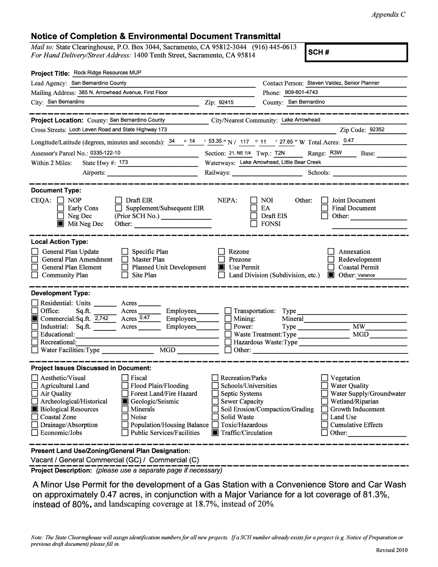## **Notice of Completion** & **Environmental Document Transmittal**

*Mail to: State Clearinghouse, P.O. Box 3044, Sacramento, CA 95812-3044 (916) 445-0613 For Hand Delivery/Street Address:* 1400 Tenth Street, Sacramento, CA 95814

**SCH#** 

| Project Title: Rock Ridge Resources MUP                                                                                                                                                                                                                                                                                                                 |                                                                                                                                                                                                                                                                                                                                               |                                                                                                              |  |  |  |  |  |
|---------------------------------------------------------------------------------------------------------------------------------------------------------------------------------------------------------------------------------------------------------------------------------------------------------------------------------------------------------|-----------------------------------------------------------------------------------------------------------------------------------------------------------------------------------------------------------------------------------------------------------------------------------------------------------------------------------------------|--------------------------------------------------------------------------------------------------------------|--|--|--|--|--|
| Lead Agency: San Bernardino County                                                                                                                                                                                                                                                                                                                      | Contact Person: Steven Valdez, Senior Planner                                                                                                                                                                                                                                                                                                 |                                                                                                              |  |  |  |  |  |
| Mailing Address: 385 N. Arrowhead Avenue, First Floor                                                                                                                                                                                                                                                                                                   |                                                                                                                                                                                                                                                                                                                                               | Phone: 909-601-4743                                                                                          |  |  |  |  |  |
| City: San Bernardino                                                                                                                                                                                                                                                                                                                                    | Zip: 92415                                                                                                                                                                                                                                                                                                                                    | County: San Bernardino                                                                                       |  |  |  |  |  |
|                                                                                                                                                                                                                                                                                                                                                         |                                                                                                                                                                                                                                                                                                                                               |                                                                                                              |  |  |  |  |  |
| Project Location: County: San Bernardino County<br>City/Nearest Community: Lake Arrowhead                                                                                                                                                                                                                                                               |                                                                                                                                                                                                                                                                                                                                               |                                                                                                              |  |  |  |  |  |
| Cross Streets: Loch Leven Road and State Highway 173<br>Zip Code: 92352                                                                                                                                                                                                                                                                                 |                                                                                                                                                                                                                                                                                                                                               |                                                                                                              |  |  |  |  |  |
| Longitude/Latitude (degrees, minutes and seconds): $\frac{34}{14}$ $\frac{14}{14}$ $\frac{53.35}{14}$ N / 117 ° 11 $\frac{127.65}{14}$ W Total Acres: $\frac{0.47}{14}$                                                                                                                                                                                 |                                                                                                                                                                                                                                                                                                                                               |                                                                                                              |  |  |  |  |  |
| Assessor's Parcel No.: 0335-122-10<br><u> 1990 - Jan Barbara III, politik politik (</u>                                                                                                                                                                                                                                                                 |                                                                                                                                                                                                                                                                                                                                               | Section: 21, NE 1/4 Twp.: T2N ______ Range: R3W ______ Base: _____                                           |  |  |  |  |  |
| Within 2 Miles:<br>State Hwy $\#$ : 173                                                                                                                                                                                                                                                                                                                 | Waterways: Lake Arrowhead, Little Bear Creek                                                                                                                                                                                                                                                                                                  |                                                                                                              |  |  |  |  |  |
| Airports:                                                                                                                                                                                                                                                                                                                                               |                                                                                                                                                                                                                                                                                                                                               | Railways: Schools: Schools: Schools: 2001                                                                    |  |  |  |  |  |
|                                                                                                                                                                                                                                                                                                                                                         |                                                                                                                                                                                                                                                                                                                                               |                                                                                                              |  |  |  |  |  |
| <b>Document Type:</b><br>$CEQA: \Box NOP$<br>$\Box$ Draft EIR<br>Supplement/Subsequent EIR<br>Early Cons<br>(Prior SCH No.) ________________<br>Neg Dec<br>$\blacksquare$ Mit Neg Dec<br>Other:                                                                                                                                                         | NEPA:                                                                                                                                                                                                                                                                                                                                         | <b>NOI</b><br>Other:<br>Joint Document<br>EA<br><b>Final Document</b><br>Draft EIS<br>Other:<br><b>FONSI</b> |  |  |  |  |  |
| <b>Local Action Type:</b><br>General Plan Update<br>$\Box$ Specific Plan<br><b>General Plan Amendment</b><br>$\Box$ Master Plan<br>General Plan Element<br>$\Box$ Planned Unit Development<br><b>Community Plan</b><br>Site Plan                                                                                                                        | Rezone<br>Prezone<br><b>Use Permit</b>                                                                                                                                                                                                                                                                                                        | Annexation<br>Redevelopment<br><b>Coastal Permit</b><br>Land Division (Subdivision, etc.)<br>Other: Variance |  |  |  |  |  |
| <b>Development Type:</b><br>Residential: Units ________ Acres ____<br>Office:<br>Acres<br>Sq.ft.<br>Commercial:Sq.ft. $2,742$ Acres 0.47<br>Industrial: Sq.ft. ________ Acres _______<br>Employees________<br>Educational:<br>Recreational:<br>MGD NGD<br>Water Facilities: Type                                                                        | Employees_________ _ Transportation: Type<br>Employees $\Box$ Mining:<br>Power:                                                                                                                                                                                                                                                               | Mineral<br>MW -<br><b>MGD</b>                                                                                |  |  |  |  |  |
| <b>Project Issues Discussed in Document:</b>                                                                                                                                                                                                                                                                                                            |                                                                                                                                                                                                                                                                                                                                               |                                                                                                              |  |  |  |  |  |
| Aesthetic/Visual<br>Fiscal<br>Flood Plain/Flooding<br>Agricultural Land<br>Forest Land/Fire Hazard<br>Air Quality<br>Archeological/Historical<br>Geologic/Seismic<br><b>Biological Resources</b><br>Minerals<br><b>Coastal Zone</b><br>Noise<br>Drainage/Absorption<br>Population/Housing Balance<br>Economic/Jobs<br><b>Public Services/Facilities</b> | <b>Recreation/Parks</b><br>Vegetation<br>Schools/Universities<br><b>Water Quality</b><br>Septic Systems<br>Water Supply/Groundwater<br>Sewer Capacity<br>Wetland/Riparian<br>Soil Erosion/Compaction/Grading<br>Growth Inducement<br>Solid Waste<br>Land Use<br>Toxic/Hazardous<br><b>Cumulative Effects</b><br>Traffic/Circulation<br>Other: |                                                                                                              |  |  |  |  |  |
| Present Land Use/Zoning/General Plan Designation:<br>Vacant / General Commercial (GC) / Commercial (C)                                                                                                                                                                                                                                                  |                                                                                                                                                                                                                                                                                                                                               |                                                                                                              |  |  |  |  |  |

**Project Description:** (please use a separate page if necessary)

A Minor Use Permit for the development of a Gas Station with a Convenience Store and Car Wash on approximately 0.47 acres, in conjunction with a Major Variance for a lot coverage of 81.3%, instead of 80%, and landscaping coverage at 18.7%, instead of 20%.